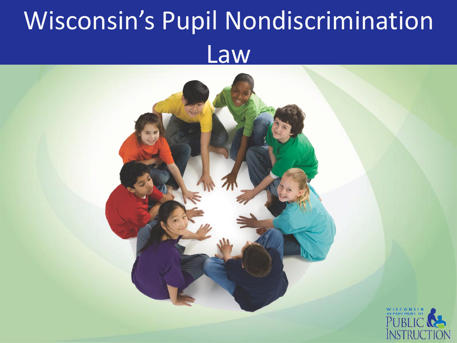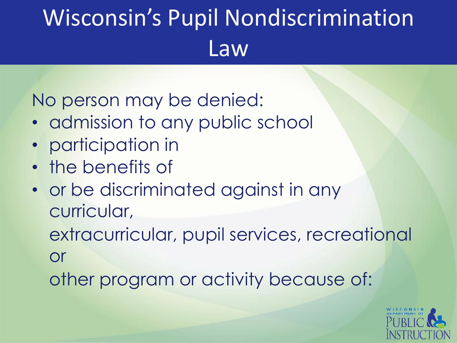No person may be denied:

- admission to any public school
- participation in
- the benefits of
- or be discriminated against in any curricular,

extracurricular, pupil services, recreational or

other program or activity because of:

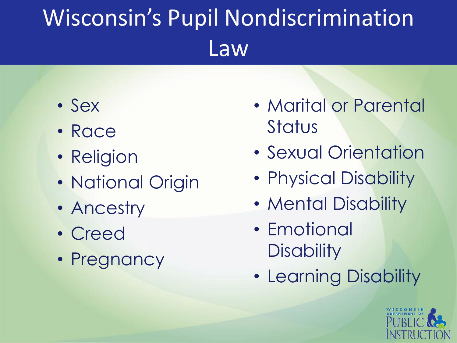- Sex
- Race
- Religion
- National Origin
- Ancestry
- Creed
- Pregnancy
- Marital or Parental **Status**
- Sexual Orientation
- Physical Disability
- Mental Disability
- Emotional **Disability**
- Learning Disability

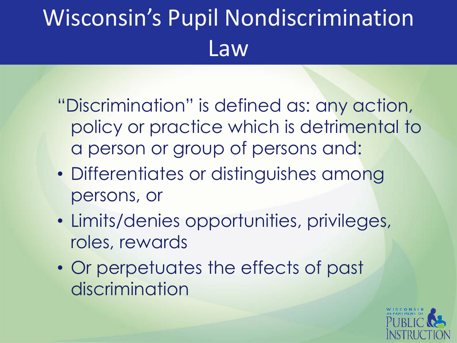- "Discrimination" is defined as: any action, policy or practice which is detrimental to a person or group of persons and:
- Differentiates or distinguishes among persons, or
- Limits/denies opportunities, privileges, roles, rewards
- Or perpetuates the effects of past discrimination

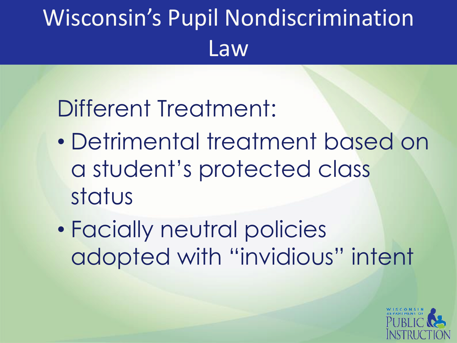#### Different Treatment:

- Detrimental treatment based on a student's protected class status
- Facially neutral policies adopted with "invidious" intent

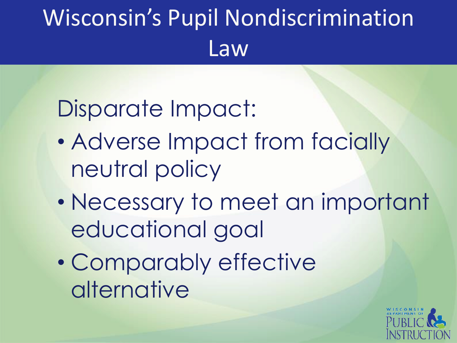#### Disparate Impact:

- Adverse Impact from facially neutral policy
- Necessary to meet an important educational goal
- Comparably effective alternative

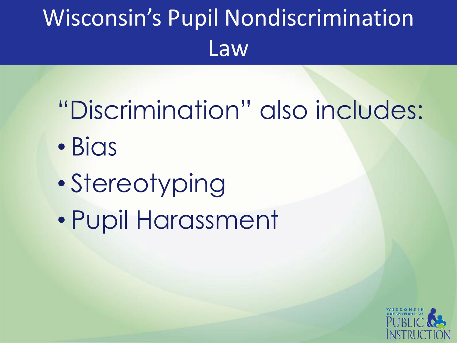# "Discrimination" also includes:

- Bias
- Stereotyping
- Pupil Harassment

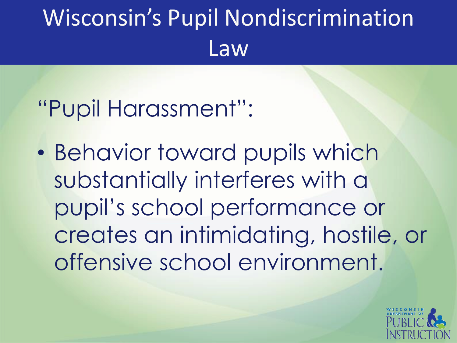#### "Pupil Harassment":

• Behavior toward pupils which substantially interferes with a pupil's school performance or creates an intimidating, hostile, or offensive school environment.

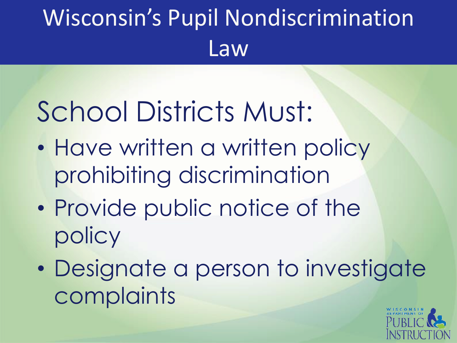# School Districts Must:

- Have written a written policy prohibiting discrimination
- Provide public notice of the policy
- Designate a person to investigate complaints

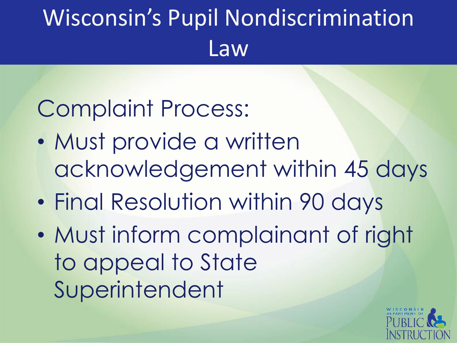#### Complaint Process:

- Must provide a written acknowledgement within 45 days
- Final Resolution within 90 days
- Must inform complainant of right to appeal to State Superintendent

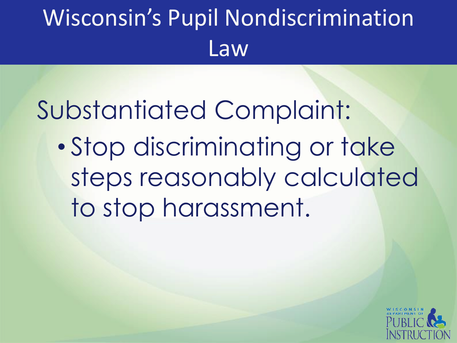#### Substantiated Complaint:

• Stop discriminating or take steps reasonably calculated to stop harassment.

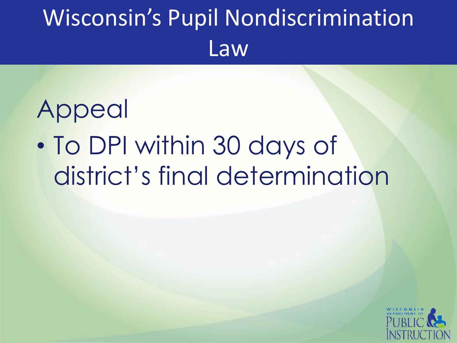# Appeal • To DPI within 30 days of district's final determination

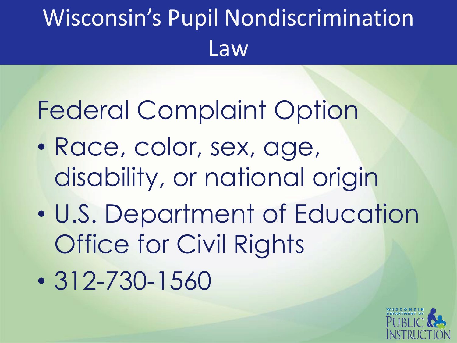## Federal Complaint Option

- Race, color, sex, age, disability, or national origin
- U.S. Department of Education Office for Civil Rights
- 312-730-1560

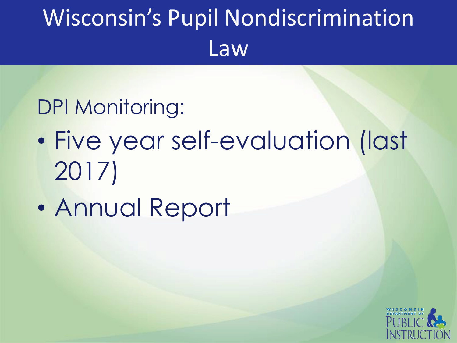#### DPI Monitoring:

- Five year self-evaluation (last 2017)
- Annual Report